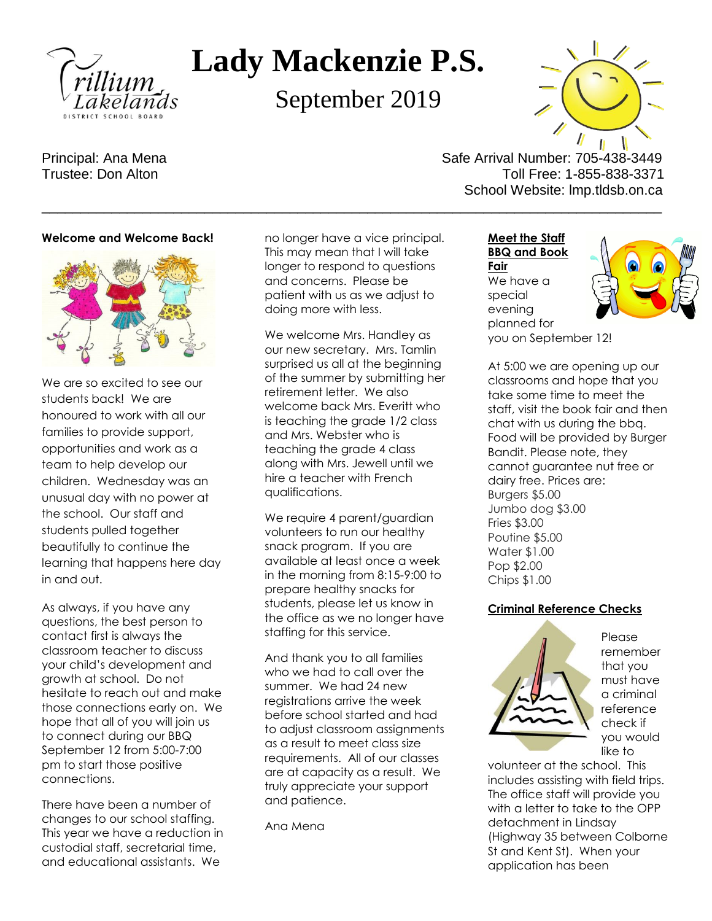

# **Lady Mackenzie P.S.**

September 2019

Principal: Ana Mena Safe Arrival Number: 705-438-3449 Trustee: Don Alton Trustee: 0.000 Alton Toll Free: 1-855-838-3371 School Website: lmp.tldsb.on.ca

### **Welcome and Welcome Back!**



We are so excited to see our students back! We are honoured to work with all our families to provide support, opportunities and work as a team to help develop our children. Wednesday was an unusual day with no power at the school. Our staff and students pulled together beautifully to continue the learning that happens here day in and out.

As always, if you have any questions, the best person to contact first is always the classroom teacher to discuss your child's development and growth at school. Do not hesitate to reach out and make those connections early on. We hope that all of you will join us to connect during our BBQ September 12 from 5:00-7:00 pm to start those positive connections.

There have been a number of changes to our school staffing. This year we have a reduction in custodial staff, secretarial time, and educational assistants. We

no longer have a vice principal. This may mean that I will take longer to respond to questions and concerns. Please be patient with us as we adjust to doing more with less.

\_\_\_\_\_\_\_\_\_\_\_\_\_\_\_\_\_\_\_\_\_\_\_\_\_\_\_\_\_\_\_\_\_\_\_\_\_\_\_\_\_\_\_\_\_\_\_\_\_\_\_\_\_\_\_\_\_\_\_\_\_\_\_\_\_\_\_\_\_\_\_\_\_\_\_\_\_\_\_\_

We welcome Mrs. Handley as our new secretary. Mrs. Tamlin surprised us all at the beginning of the summer by submitting her retirement letter. We also welcome back Mrs. Everitt who is teaching the grade 1/2 class and Mrs. Webster who is teaching the grade 4 class along with Mrs. Jewell until we hire a teacher with French qualifications.

We require 4 parent/guardian volunteers to run our healthy snack program. If you are available at least once a week in the morning from 8:15-9:00 to prepare healthy snacks for students, please let us know in the office as we no longer have staffing for this service.

And thank you to all families who we had to call over the summer. We had 24 new registrations arrive the week before school started and had to adjust classroom assignments as a result to meet class size requirements. All of our classes are at capacity as a result. We truly appreciate your support and patience.

Ana Mena

**Meet the Staff BBQ and Book Fair** We have a special evening planned for you on September 12!



At 5:00 we are opening up our classrooms and hope that you take some time to meet the staff, visit the book fair and then chat with us during the bbq. Food will be provided by Burger Bandit. Please note, they cannot guarantee nut free or dairy free. Prices are: Burgers \$5.00 Jumbo dog \$3.00 Fries \$3.00 Poutine \$5.00 Water \$1.00 Pop \$2.00 Chips \$1.00

# **Criminal Reference Checks**



Please remember that you must have a criminal reference check if you would like to

volunteer at the school. This includes assisting with field trips. The office staff will provide you with a letter to take to the OPP detachment in Lindsay (Highway 35 between Colborne St and Kent St). When your application has been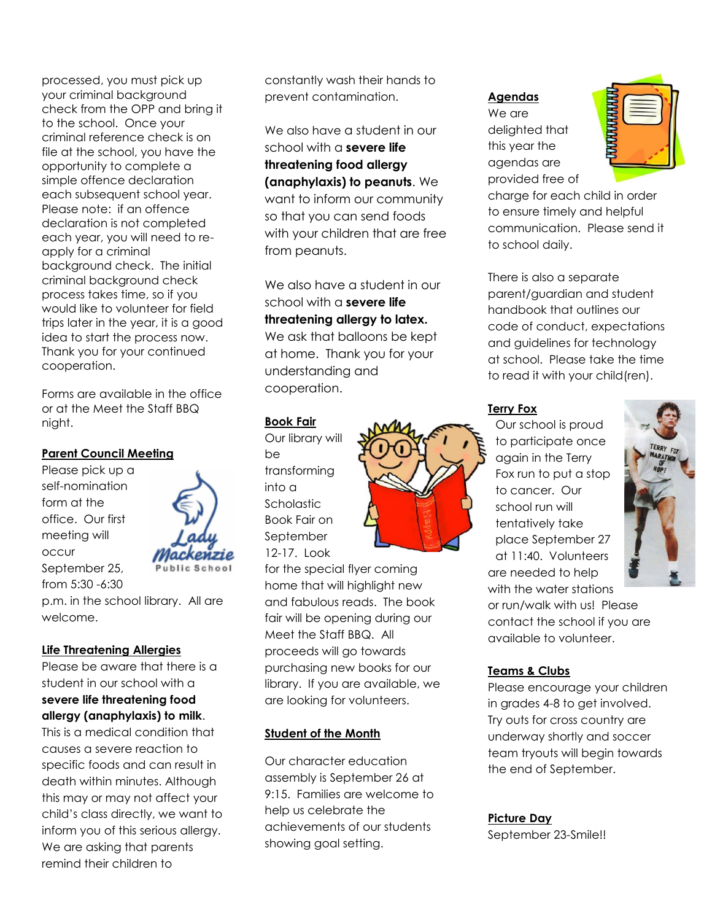processed, you must pick up your criminal background check from the OPP and bring it to the school. Once your criminal reference check is on file at the school, you have the opportunity to complete a simple offence declaration each subsequent school year. Please note: if an offence declaration is not completed each year, you will need to reapply for a criminal background check. The initial criminal background check process takes time, so if you would like to volunteer for field trips later in the year, it is a good idea to start the process now. Thank you for your continued cooperation.

Forms are available in the office or at the Meet the Staff BBQ night.

# **Parent Council Meeting**

Please pick up a self-nomination form at the office. Our first meeting will occur September 25, from 5:30 -6:30

p.m. in the school library. All are welcome.

# **Life Threatening Allergies**

Please be aware that there is a student in our school with a **severe life threatening food allergy (anaphylaxis) to milk**.

This is a medical condition that causes a severe reaction to specific foods and can result in death within minutes. Although this may or may not affect your child's class directly, we want to inform you of this serious allergy. We are asking that parents remind their children to

constantly wash their hands to prevent contamination.

We also have a student in our school with a **severe life threatening food allergy (anaphylaxis) to peanuts**. We want to inform our community so that you can send foods with your children that are free from peanuts.

We also have a student in our school with a **severe life threatening allergy to latex.** We ask that balloons be kept at home. Thank you for your understanding and cooperation.

# **Book Fair**

Our library will be transforming into a **Scholastic** Book Fair on September 12-17. Look

for the special flyer coming home that will highlight new and fabulous reads. The book fair will be opening during our Meet the Staff BBQ. All proceeds will go towards purchasing new books for our library. If you are available, we are looking for volunteers.

# **Student of the Month**

Our character education assembly is September 26 at 9:15. Families are welcome to help us celebrate the achievements of our students showing goal setting.

# **Agendas**

We are delighted that this year the agendas are provided free of



charge for each child in order to ensure timely and helpful communication. Please send it to school daily.

There is also a separate parent/guardian and student handbook that outlines our code of conduct, expectations and guidelines for technology at school. Please take the time to read it with your child(ren).

# **Terry Fox**

Our school is proud to participate once again in the Terry Fox run to put a stop to cancer. Our school run will tentatively take place September 27 at 11:40. Volunteers are needed to help with the water stations



or run/walk with us! Please contact the school if you are available to volunteer.

# **Teams & Clubs**

Please encourage your children in grades 4-8 to get involved. Try outs for cross country are underway shortly and soccer team tryouts will begin towards the end of September.

# **Picture Day**

September 23-Smile!!